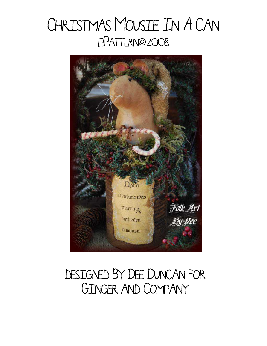# CHRISTMAS MOUSIE IN A CAN EPATTERN©2008



### DESIGNED BY DEE DUNCAN FOR Ginger and Company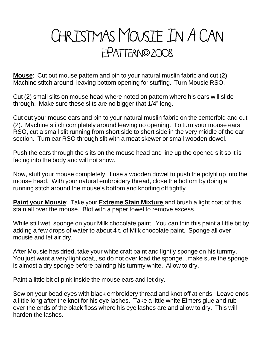# CHRISTMAS MOUSIE IN A CAN E-Pattern ©**©**2008

**Mouse**: Cut out mouse pattern and pin to your natural muslin fabric and cut (2). Machine stitch around, leaving bottom opening for stuffing. Turn Mousie RSO.

Cut (2) small slits on mouse head where noted on pattern where his ears will slide through. Make sure these slits are no bigger that 1/4" long.

Cut out your mouse ears and pin to your natural muslin fabric on the centerfold and cut (2). Machine stitch completely around leaving no opening. To turn your mouse ears RSO, cut a small slit running from short side to short side in the very middle of the ear section. Turn ear RSO through slit with a meat skewer or small wooden dowel.

Push the ears through the slits on the mouse head and line up the opened slit so it is facing into the body and will not show.

Now, stuff your mouse completely. I use a wooden dowel to push the polyfil up into the mouse head. With your natural embroidery thread, close the bottom by doing a running stitch around the mouse's bottom and knotting off tightly.

**Paint your Mousie**: Take your **Extreme Stain Mixture** and brush a light coat of this stain all over the mouse. Blot with a paper towel to remove excess.

While still wet, sponge on your Milk chocolate paint. You can thin this paint a little bit by adding a few drops of water to about 4 t. of Milk chocolate paint. Sponge all over mousie and let air dry.

After Mousie has dried, take your white craft paint and lightly sponge on his tummy. You just want a very light coat,,,so do not over load the sponge...make sure the sponge is almost a dry sponge before painting his tummy white. Allow to dry.

Paint a little bit of pink inside the mouse ears and let dry.

Sew on your bead eyes with black embroidery thread and knot off at ends. Leave ends a little long after the knot for his eye lashes. Take a little white Elmers glue and rub over the ends of the black floss where his eye lashes are and allow to dry. This will harden the lashes.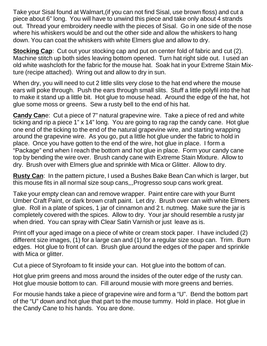Take your Sisal found at Walmart,(if you can not find Sisal, use brown floss) and cut a piece about 6" long. You will have to unwind this piece and take only about 4 strands out. Thread your embroidery needle with the pieces of Sisal. Go in one side of the nose where his whiskers would be and out the other side and allow the whiskers to hang down. You can coat the whiskers with white Elmers glue and allow to dry.

**Stocking Cap**: Cut out your stocking cap and put on center fold of fabric and cut (2). Machine stitch up both sides leaving bottom opened. Turn hat right side out. I used an old white washcloth for the fabric for the mouse hat. Soak hat in your Extreme Stain Mixture (recipe attached). Wring out and allow to dry in sun.

When dry, you will need to cut 2 little slits very close to the hat end where the mouse ears will poke through. Push the ears through small slits. Stuff a little polyfil into the hat to make it stand up a little bit. Hot glue to mouse head. Around the edge of the hat, hot glue some moss or greens. Sew a rusty bell to the end of his hat.

**Candy Can**e: Cut a piece of 7" natural grapevine wire. Take a piece of red and white ticking and rip a piece 1" x 14" long. You are going to rag rap the candy cane. Hot glue one end of the ticking to the end of the natural grapevine wire, and starting wrapping around the grapevine wire. As you go, put a little hot glue under the fabric to hold in place. Once you have gotten to the end of the wire, hot glue in place. I form a "Package" end when I reach the bottom and hot glue in place. Form your candy cane top by bending the wire over. Brush candy cane with Extreme Stain Mixture. Allow to dry. Brush over with Elmers glue and sprinkle with Mica or Glitter. Allow to dry.

**Rusty Can**: In the pattern picture, I used a Bushes Bake Bean Can which is larger, but this mouse fits in all normal size soup cans,,,Progresso soup cans work great.

Take your empty clean can and remove wrapper. Paint entire care with your Burnt Umber Craft Paint, or dark brown craft paint. Let dry. Brush over can with white Elmers glue. Roll in a plate of spices, 1 jar of cinnamon and 2 t. nutmeg. Make sure the jar is completely covered with the spices. Allow to dry. Your jar should resemble a rusty jar when dried. You can spray with Clear Satin Varnish or just leave as is.

Print off your aged image on a piece of white or cream stock paper. I have included (2) different size images, (1) for a large can and (1) for a regular size soup can. Trim. Burn edges. Hot glue to front of can. Brush glue around the edges of the paper and sprinkle with Mica or glitter.

Cut a piece of Styrofoam to fit inside your can. Hot glue into the bottom of can.

Hot glue prim greens and moss around the insides of the outer edge of the rusty can. Hot glue mousie bottom to can. Fill around mousie with more greens and berries.

For mousie hands take a piece of grapevine wire and form a "U". Bend the bottom part of the "U" down and hot glue that part to the mouse tummy. Hold in place. Hot glue in the Candy Cane to his hands. You are done.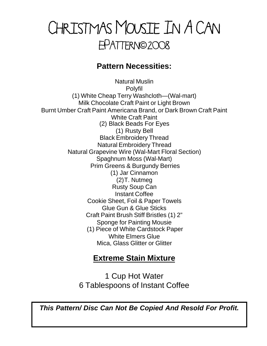### Christmas Mousie In A Can E-Pattern ©**©**2008

#### **Pattern Necessities:**

Natural Muslin Polyfil (1) White Cheap Terry Washcloth—(Wal-mart) Milk Chocolate Craft Paint or Light Brown Burnt Umber Craft Paint Americana Brand, or Dark Brown Craft Paint White Craft Paint (2) Black Beads For Eyes (1) Rusty Bell Black Embroidery Thread Natural Embroidery Thread Natural Grapevine Wire (Wal-Mart Floral Section) Spaghnum Moss (Wal-Mart) Prim Greens & Burgundy Berries (1) Jar Cinnamon (2)T. Nutmeg Rusty Soup Can Instant Coffee Cookie Sheet, Foil & Paper Towels Glue Gun & Glue Sticks Craft Paint Brush Stiff Bristles (1) 2" Sponge for Painting Mousie (1) Piece of White Cardstock Paper White Elmers Glue Mica, Glass Glitter or Glitter

#### **Extreme Stain Mixture**

1 Cup Hot Water 6 Tablespoons of Instant Coffee

*This Pattern/ Disc Can Not Be Copied And Resold For Profit.*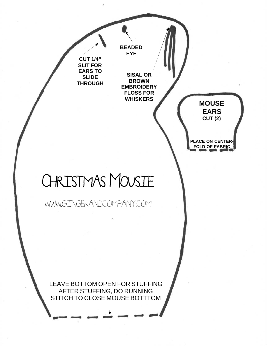

LEAVE BOTTOM OPEN FOR STUFFING AFTER STUFFING, DO RUNNING STITCH TO CLOSE MOUSE BOTTTOM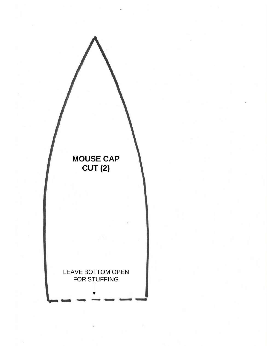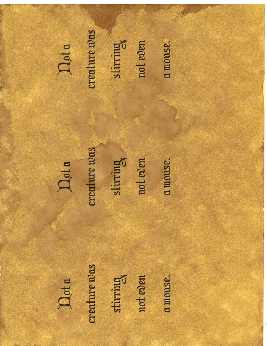